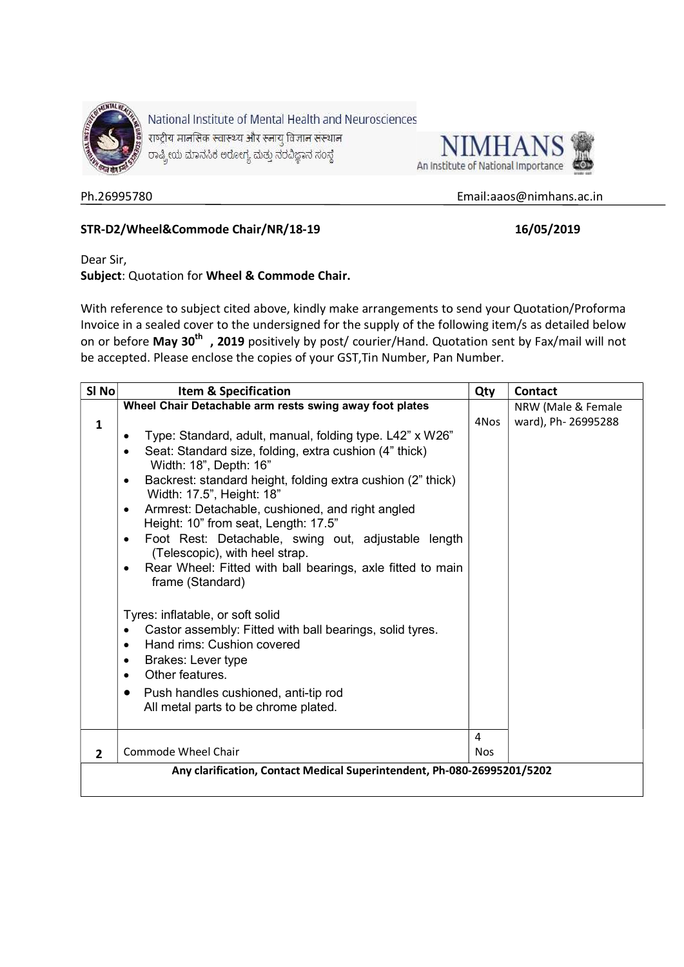



#### Ph.26995780 Email:aaos@nimhans.ac.in

# STR-D2/Wheel&Commode Chair/NR/18-19 16/05/2019

Dear Sir,

## Subject: Quotation for Wheel & Commode Chair.

With reference to subject cited above, kindly make arrangements to send your Quotation/Proforma Invoice in a sealed cover to the undersigned for the supply of the following item/s as detailed below on or before May 30<sup>th</sup>, 2019 positively by post/ courier/Hand. Quotation sent by Fax/mail will not be accepted. Please enclose the copies of your GST,Tin Number, Pan Number.

| SI <sub>No</sub> | <b>Item &amp; Specification</b>                                                                       | Qty        | <b>Contact</b>      |
|------------------|-------------------------------------------------------------------------------------------------------|------------|---------------------|
|                  | Wheel Chair Detachable arm rests swing away foot plates                                               |            | NRW (Male & Female  |
| $\mathbf{1}$     |                                                                                                       | 4Nos       | ward), Ph- 26995288 |
|                  | Type: Standard, adult, manual, folding type. L42" x W26"<br>٠                                         |            |                     |
|                  | Seat: Standard size, folding, extra cushion (4" thick)<br>$\bullet$<br>Width: 18", Depth: 16"         |            |                     |
|                  | Backrest: standard height, folding extra cushion (2" thick)<br>$\bullet$<br>Width: 17.5", Height: 18" |            |                     |
|                  | Armrest: Detachable, cushioned, and right angled<br>$\bullet$<br>Height: 10" from seat, Length: 17.5" |            |                     |
|                  | Foot Rest: Detachable, swing out, adjustable length<br>$\bullet$<br>(Telescopic), with heel strap.    |            |                     |
|                  | Rear Wheel: Fitted with ball bearings, axle fitted to main<br>٠<br>frame (Standard)                   |            |                     |
|                  | Tyres: inflatable, or soft solid                                                                      |            |                     |
|                  | Castor assembly: Fitted with ball bearings, solid tyres.<br>$\bullet$                                 |            |                     |
|                  | Hand rims: Cushion covered<br>$\bullet$                                                               |            |                     |
|                  | Brakes: Lever type<br>٠                                                                               |            |                     |
|                  | Other features.<br>$\bullet$                                                                          |            |                     |
|                  | Push handles cushioned, anti-tip rod<br>$\bullet$<br>All metal parts to be chrome plated.             |            |                     |
|                  |                                                                                                       | 4          |                     |
| $\overline{2}$   | Commode Wheel Chair                                                                                   | <b>Nos</b> |                     |